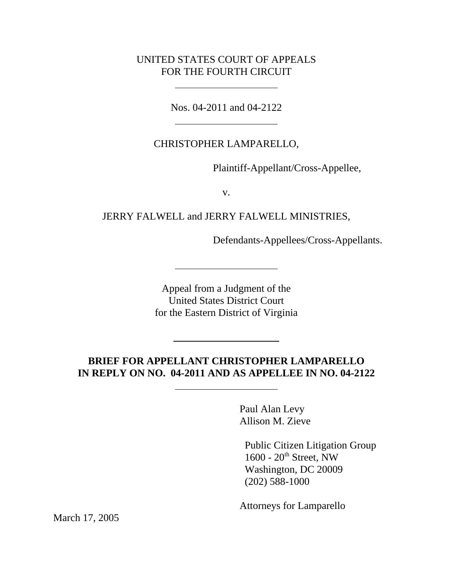### UNITED STATES COURT OF APPEALS FOR THE FOURTH CIRCUIT

 $\overline{\phantom{a}}$ 

 $\overline{\phantom{a}}$ 

Nos. 04-2011 and 04-2122

# CHRISTOPHER LAMPARELLO,

Plaintiff-Appellant/Cross-Appellee,

v.

## JERRY FALWELL and JERRY FALWELL MINISTRIES,

Defendants-Appellees/Cross-Appellants.

Appeal from a Judgment of the United States District Court for the Eastern District of Virginia

# **BRIEF FOR APPELLANT CHRISTOPHER LAMPARELLO IN REPLY ON NO. 04-2011 AND AS APPELLEE IN NO. 04-2122**

Paul Alan Levy Allison M. Zieve

 Public Citizen Litigation Group  $1600 - 20$ <sup>th</sup> Street, NW Washington, DC 20009 (202) 588-1000

Attorneys for Lamparello

March 17, 2005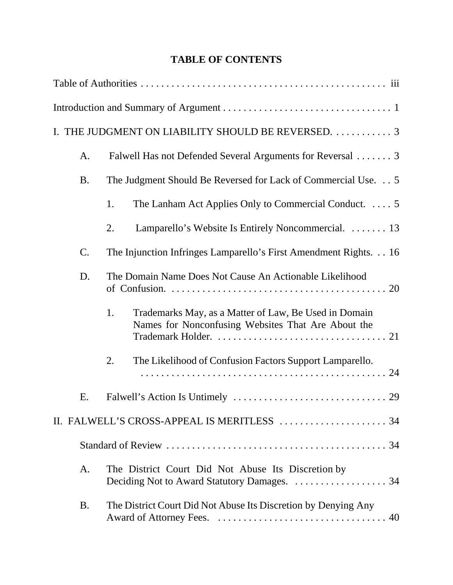# **TABLE OF CONTENTS**

|                | I. THE JUDGMENT ON LIABILITY SHOULD BE REVERSED.  3                                                               |
|----------------|-------------------------------------------------------------------------------------------------------------------|
| A.             | Falwell Has not Defended Several Arguments for Reversal  3                                                        |
| <b>B.</b>      | The Judgment Should Be Reversed for Lack of Commercial Use. 5                                                     |
|                | 1.<br>The Lanham Act Applies Only to Commercial Conduct.  5                                                       |
|                | Lamparello's Website Is Entirely Noncommercial.  13<br>2.                                                         |
| C.             | The Injunction Infringes Lamparello's First Amendment Rights. 16                                                  |
| D.             | The Domain Name Does Not Cause An Actionable Likelihood                                                           |
|                | 1.<br>Trademarks May, as a Matter of Law, Be Used in Domain<br>Names for Nonconfusing Websites That Are About the |
|                | The Likelihood of Confusion Factors Support Lamparello.<br>2.                                                     |
| Ε.             |                                                                                                                   |
|                |                                                                                                                   |
|                |                                                                                                                   |
| $\mathbf{A}$ . | The District Court Did Not Abuse Its Discretion by                                                                |
| <b>B.</b>      | The District Court Did Not Abuse Its Discretion by Denying Any                                                    |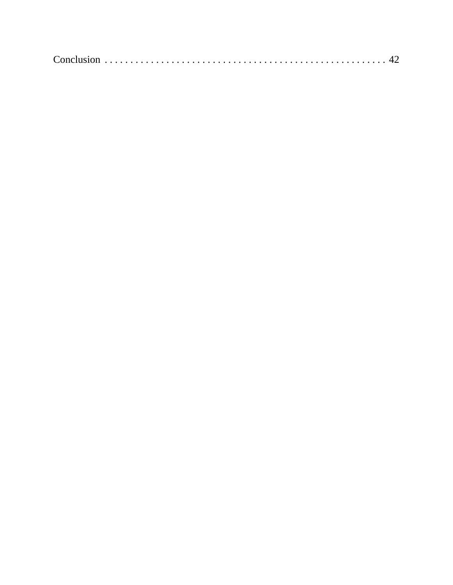|--|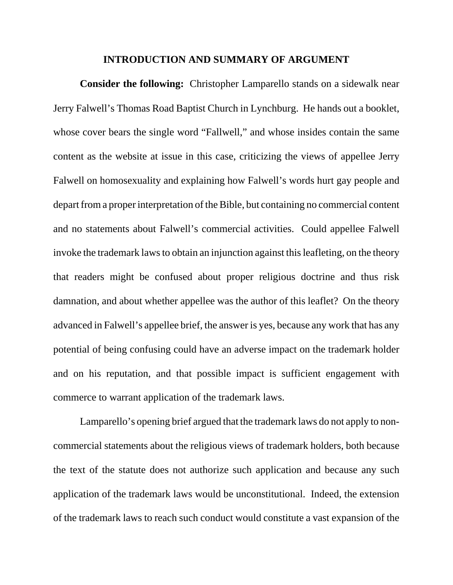#### **INTRODUCTION AND SUMMARY OF ARGUMENT**

**Consider the following:** Christopher Lamparello stands on a sidewalk near Jerry Falwell's Thomas Road Baptist Church in Lynchburg. He hands out a booklet, whose cover bears the single word "Fallwell," and whose insides contain the same content as the website at issue in this case, criticizing the views of appellee Jerry Falwell on homosexuality and explaining how Falwell's words hurt gay people and depart from a proper interpretation of the Bible, but containing no commercial content and no statements about Falwell's commercial activities. Could appellee Falwell invoke the trademark laws to obtain an injunction against this leafleting, on the theory that readers might be confused about proper religious doctrine and thus risk damnation, and about whether appellee was the author of this leaflet? On the theory advanced in Falwell's appellee brief, the answer is yes, because any work that has any potential of being confusing could have an adverse impact on the trademark holder and on his reputation, and that possible impact is sufficient engagement with commerce to warrant application of the trademark laws.

Lamparello's opening brief argued that the trademark laws do not apply to noncommercial statements about the religious views of trademark holders, both because the text of the statute does not authorize such application and because any such application of the trademark laws would be unconstitutional. Indeed, the extension of the trademark laws to reach such conduct would constitute a vast expansion of the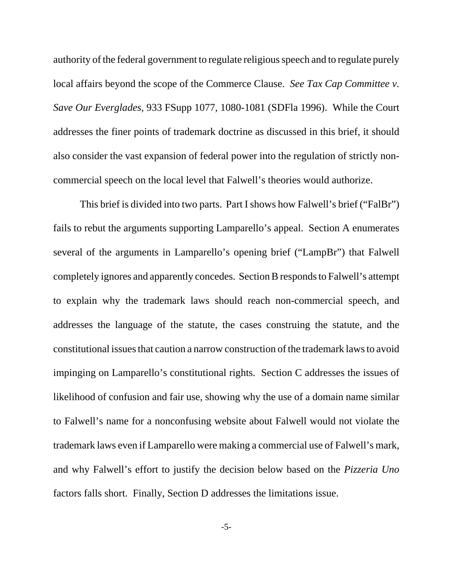authority of the federal government to regulate religious speech and to regulate purely local affairs beyond the scope of the Commerce Clause. *See Tax Cap Committee v. Save Our Everglades,* 933 FSupp 1077, 1080-1081 (SDFla 1996). While the Court addresses the finer points of trademark doctrine as discussed in this brief, it should also consider the vast expansion of federal power into the regulation of strictly noncommercial speech on the local level that Falwell's theories would authorize.

This brief is divided into two parts. Part I shows how Falwell's brief ("FalBr") fails to rebut the arguments supporting Lamparello's appeal. Section A enumerates several of the arguments in Lamparello's opening brief ("LampBr") that Falwell completely ignores and apparently concedes. Section B responds to Falwell's attempt to explain why the trademark laws should reach non-commercial speech, and addresses the language of the statute, the cases construing the statute, and the constitutional issues that caution a narrow construction of the trademark laws to avoid impinging on Lamparello's constitutional rights. Section C addresses the issues of likelihood of confusion and fair use, showing why the use of a domain name similar to Falwell's name for a nonconfusing website about Falwell would not violate the trademark laws even if Lamparello were making a commercial use of Falwell's mark, and why Falwell's effort to justify the decision below based on the *Pizzeria Uno* factors falls short. Finally, Section D addresses the limitations issue.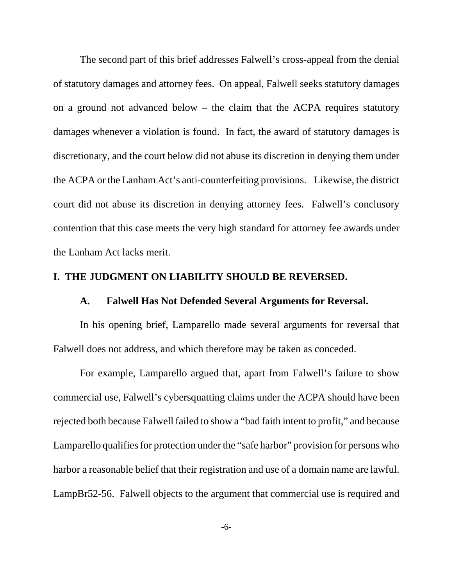The second part of this brief addresses Falwell's cross-appeal from the denial of statutory damages and attorney fees. On appeal, Falwell seeks statutory damages on a ground not advanced below – the claim that the ACPA requires statutory damages whenever a violation is found. In fact, the award of statutory damages is discretionary, and the court below did not abuse its discretion in denying them under the ACPA or the Lanham Act's anti-counterfeiting provisions. Likewise, the district court did not abuse its discretion in denying attorney fees. Falwell's conclusory contention that this case meets the very high standard for attorney fee awards under the Lanham Act lacks merit.

### **I. THE JUDGMENT ON LIABILITY SHOULD BE REVERSED.**

#### **A. Falwell Has Not Defended Several Arguments for Reversal.**

In his opening brief, Lamparello made several arguments for reversal that Falwell does not address, and which therefore may be taken as conceded.

For example, Lamparello argued that, apart from Falwell's failure to show commercial use, Falwell's cybersquatting claims under the ACPA should have been rejected both because Falwell failed to show a "bad faith intent to profit," and because Lamparello qualifies for protection under the "safe harbor" provision for persons who harbor a reasonable belief that their registration and use of a domain name are lawful. LampBr52-56. Falwell objects to the argument that commercial use is required and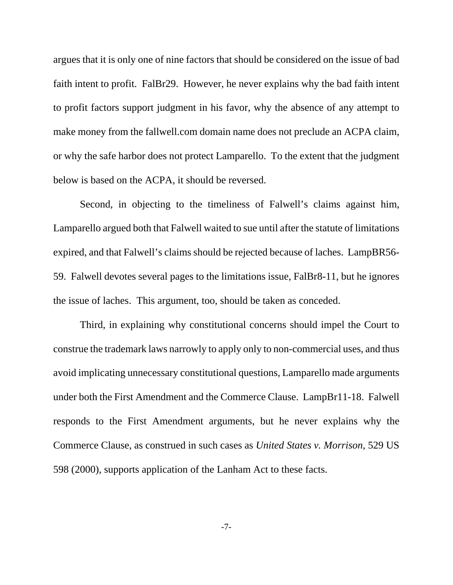argues that it is only one of nine factors that should be considered on the issue of bad faith intent to profit. FalBr29. However, he never explains why the bad faith intent to profit factors support judgment in his favor, why the absence of any attempt to make money from the fallwell.com domain name does not preclude an ACPA claim, or why the safe harbor does not protect Lamparello. To the extent that the judgment below is based on the ACPA, it should be reversed.

Second, in objecting to the timeliness of Falwell's claims against him, Lamparello argued both that Falwell waited to sue until after the statute of limitations expired, and that Falwell's claims should be rejected because of laches. LampBR56- 59. Falwell devotes several pages to the limitations issue, FalBr8-11, but he ignores the issue of laches. This argument, too, should be taken as conceded.

Third, in explaining why constitutional concerns should impel the Court to construe the trademark laws narrowly to apply only to non-commercial uses, and thus avoid implicating unnecessary constitutional questions, Lamparello made arguments under both the First Amendment and the Commerce Clause. LampBr11-18. Falwell responds to the First Amendment arguments, but he never explains why the Commerce Clause, as construed in such cases as *United States v. Morrison*, 529 US 598 (2000), supports application of the Lanham Act to these facts.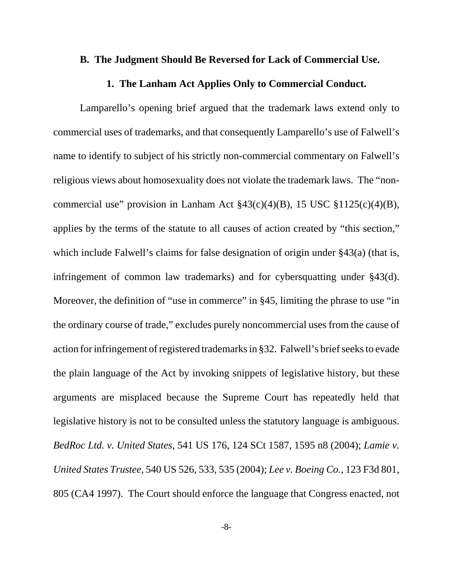### **B. The Judgment Should Be Reversed for Lack of Commercial Use.**

### **1. The Lanham Act Applies Only to Commercial Conduct.**

Lamparello's opening brief argued that the trademark laws extend only to commercial uses of trademarks, and that consequently Lamparello's use of Falwell's name to identify to subject of his strictly non-commercial commentary on Falwell's religious views about homosexuality does not violate the trademark laws. The "noncommercial use" provision in Lanham Act  $\frac{243(c)(4)}{B}$ , 15 USC  $\frac{21125(c)(4)}{B}$ , applies by the terms of the statute to all causes of action created by "this section," which include Falwell's claims for false designation of origin under §43(a) (that is, infringement of common law trademarks) and for cybersquatting under §43(d). Moreover, the definition of "use in commerce" in §45, limiting the phrase to use "in the ordinary course of trade," excludes purely noncommercial uses from the cause of action for infringement of registered trademarks in §32. Falwell's brief seeks to evade the plain language of the Act by invoking snippets of legislative history, but these arguments are misplaced because the Supreme Court has repeatedly held that legislative history is not to be consulted unless the statutory language is ambiguous. *BedRoc Ltd. v. United States*, 541 US 176, 124 SCt 1587, 1595 n8 (2004); *Lamie v. United States Trustee*, 540 US 526, 533, 535 (2004); *Lee v. Boeing Co.*, 123 F3d 801, 805 (CA4 1997). The Court should enforce the language that Congress enacted, not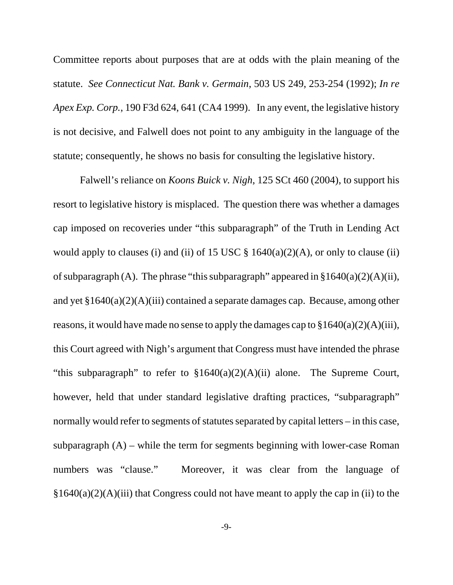Committee reports about purposes that are at odds with the plain meaning of the statute. *See Connecticut Nat. Bank v. Germain*, 503 US 249, 253-254 (1992); *In re Apex Exp. Corp.*, 190 F3d 624, 641 (CA4 1999). In any event, the legislative history is not decisive, and Falwell does not point to any ambiguity in the language of the statute; consequently, he shows no basis for consulting the legislative history.

Falwell's reliance on *Koons Buick v. Nigh*, 125 SCt 460 (2004), to support his resort to legislative history is misplaced. The question there was whether a damages cap imposed on recoveries under "this subparagraph" of the Truth in Lending Act would apply to clauses (i) and (ii) of 15 USC  $\S$  1640(a)(2)(A), or only to clause (ii) of subparagraph (A). The phrase "this subparagraph" appeared in  $\S1640(a)(2)(A)(ii)$ , and yet §1640(a)(2)(A)(iii) contained a separate damages cap. Because, among other reasons, it would have made no sense to apply the damages cap to  $§1640(a)(2)(A)(iii)$ , this Court agreed with Nigh's argument that Congress must have intended the phrase "this subparagraph" to refer to  $$1640(a)(2)(A)(ii)$  alone. The Supreme Court, however, held that under standard legislative drafting practices, "subparagraph" normally would refer to segments of statutes separated by capital letters – in this case, subparagraph  $(A)$  – while the term for segments beginning with lower-case Roman numbers was "clause." Moreover, it was clear from the language of  $§1640(a)(2)(A)(iii)$  that Congress could not have meant to apply the cap in (ii) to the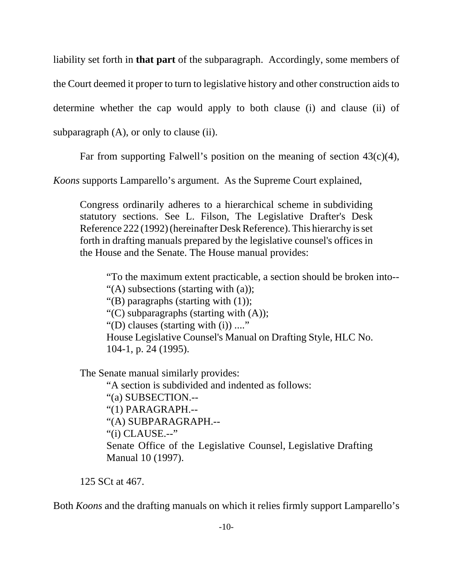liability set forth in **that part** of the subparagraph. Accordingly, some members of

the Court deemed it proper to turn to legislative history and other construction aids to

determine whether the cap would apply to both clause (i) and clause (ii) of

subparagraph (A), or only to clause (ii).

Far from supporting Falwell's position on the meaning of section  $43(c)(4)$ ,

*Koons* supports Lamparello's argument. As the Supreme Court explained,

 Congress ordinarily adheres to a hierarchical scheme in subdividing statutory sections. See L. Filson, The Legislative Drafter's Desk Reference 222 (1992) (hereinafter Desk Reference). This hierarchy is set forth in drafting manuals prepared by the legislative counsel's offices in the House and the Senate. The House manual provides:

"To the maximum extent practicable, a section should be broken into-- "(A) subsections (starting with (a)); "(B) paragraphs (starting with (1)); "(C) subparagraphs (starting with  $(A)$ ); "(D) clauses (starting with (i)) ...." House Legislative Counsel's Manual on Drafting Style, HLC No. 104-1, p. 24 (1995).

The Senate manual similarly provides:

"A section is subdivided and indented as follows: "(a) SUBSECTION.-- "(1) PARAGRAPH.-- "(A) SUBPARAGRAPH.-- "(i) CLAUSE.--" Senate Office of the Legislative Counsel, Legislative Drafting Manual 10 (1997).

125 SCt at 467.

Both *Koons* and the drafting manuals on which it relies firmly support Lamparello's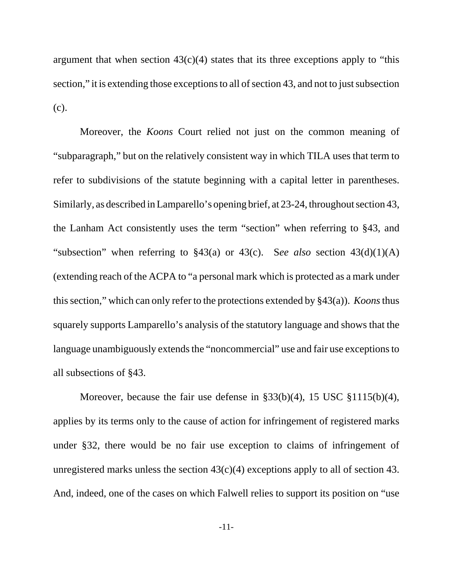argument that when section  $43(c)(4)$  states that its three exceptions apply to "this section," it is extending those exceptions to all of section 43, and not to just subsection (c).

Moreover, the *Koons* Court relied not just on the common meaning of "subparagraph," but on the relatively consistent way in which TILA uses that term to refer to subdivisions of the statute beginning with a capital letter in parentheses. Similarly, as described in Lamparello's opening brief, at 23-24, throughout section 43, the Lanham Act consistently uses the term "section" when referring to §43, and "subsection" when referring to §43(a) or 43(c). S*ee also* section 43(d)(1)(A) (extending reach of the ACPA to "a personal mark which is protected as a mark under this section," which can only refer to the protections extended by §43(a)). *Koons* thus squarely supports Lamparello's analysis of the statutory language and shows that the language unambiguously extends the "noncommercial" use and fair use exceptions to all subsections of §43.

Moreover, because the fair use defense in §33(b)(4), 15 USC §1115(b)(4), applies by its terms only to the cause of action for infringement of registered marks under §32, there would be no fair use exception to claims of infringement of unregistered marks unless the section  $43(c)(4)$  exceptions apply to all of section 43. And, indeed, one of the cases on which Falwell relies to support its position on "use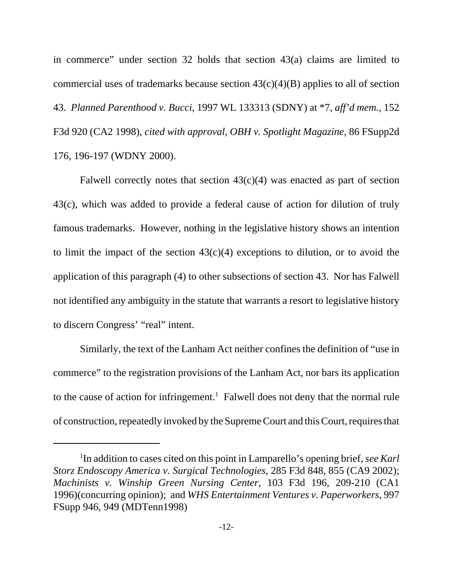in commerce" under section 32 holds that section 43(a) claims are limited to commercial uses of trademarks because section  $43(c)(4)(B)$  applies to all of section 43. *Planned Parenthood v. Bucci*, 1997 WL 133313 (SDNY) at \*7, *aff'd mem.,* 152 F3d 920 (CA2 1998), *cited with approval, OBH v. Spotlight Magazine,* 86 FSupp2d 176, 196-197 (WDNY 2000).

Falwell correctly notes that section  $43(c)(4)$  was enacted as part of section 43(c), which was added to provide a federal cause of action for dilution of truly famous trademarks. However, nothing in the legislative history shows an intention to limit the impact of the section  $43(c)(4)$  exceptions to dilution, or to avoid the application of this paragraph (4) to other subsections of section 43. Nor has Falwell not identified any ambiguity in the statute that warrants a resort to legislative history to discern Congress' "real" intent.

Similarly, the text of the Lanham Act neither confines the definition of "use in commerce" to the registration provisions of the Lanham Act, nor bars its application to the cause of action for infringement.<sup>1</sup> Falwell does not deny that the normal rule of construction, repeatedly invoked by the Supreme Court and this Court, requires that

<sup>1</sup> In addition to cases cited on this point in Lamparello's opening brief, *see Karl Storz Endoscopy America v. Surgical Technologies*, 285 F3d 848, 855 (CA9 2002); *Machinists v. Winship Green Nursing Center*, 103 F3d 196, 209-210 (CA1 1996)(concurring opinion); and *WHS Entertainment Ventures v. Paperworkers*, 997 FSupp 946, 949 (MDTenn1998)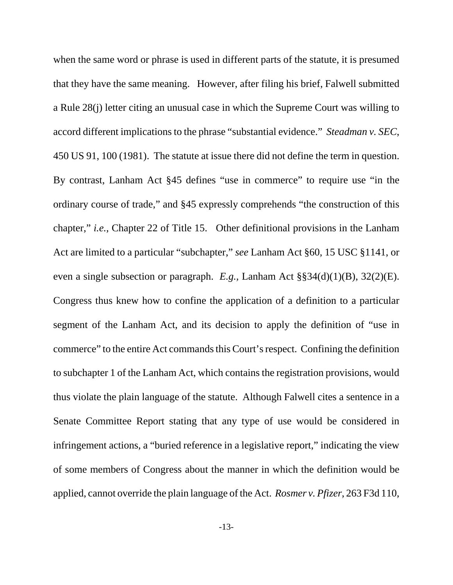when the same word or phrase is used in different parts of the statute, it is presumed that they have the same meaning. However, after filing his brief, Falwell submitted a Rule 28(j) letter citing an unusual case in which the Supreme Court was willing to accord different implications to the phrase "substantial evidence." *Steadman v. SEC*, 450 US 91, 100 (1981). The statute at issue there did not define the term in question. By contrast, Lanham Act §45 defines "use in commerce" to require use "in the ordinary course of trade," and §45 expressly comprehends "the construction of this chapter," *i.e.*, Chapter 22 of Title 15. Other definitional provisions in the Lanham Act are limited to a particular "subchapter," *see* Lanham Act §60, 15 USC §1141, or even a single subsection or paragraph. *E.g.,* Lanham Act §§34(d)(1)(B), 32(2)(E). Congress thus knew how to confine the application of a definition to a particular segment of the Lanham Act, and its decision to apply the definition of "use in commerce" to the entire Act commands this Court's respect. Confining the definition to subchapter 1 of the Lanham Act, which contains the registration provisions, would thus violate the plain language of the statute. Although Falwell cites a sentence in a Senate Committee Report stating that any type of use would be considered in infringement actions, a "buried reference in a legislative report," indicating the view of some members of Congress about the manner in which the definition would be applied, cannot override the plain language of the Act. *Rosmer v. Pfizer*, 263 F3d 110,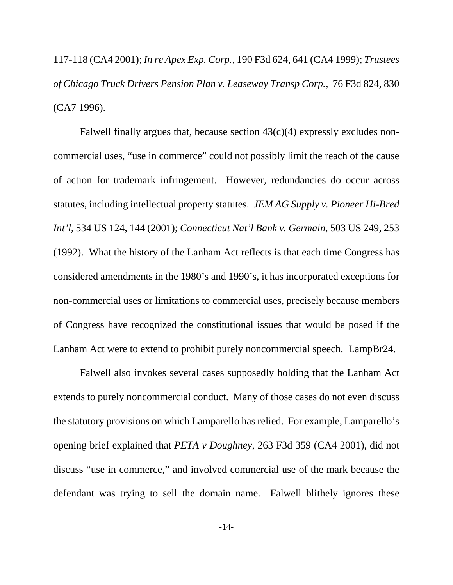117-118 (CA4 2001); *In re Apex Exp. Corp.*, 190 F3d 624, 641 (CA4 1999); *Trustees of Chicago Truck Drivers Pension Plan v. Leaseway Transp Corp.*, 76 F3d 824, 830 (CA7 1996).

Falwell finally argues that, because section  $43(c)(4)$  expressly excludes noncommercial uses, "use in commerce" could not possibly limit the reach of the cause of action for trademark infringement. However, redundancies do occur across statutes, including intellectual property statutes. *JEM AG Supply v. Pioneer Hi-Bred Int'l*, 534 US 124, 144 (2001); *Connecticut Nat'l Bank v. Germain*, 503 US 249, 253 (1992). What the history of the Lanham Act reflects is that each time Congress has considered amendments in the 1980's and 1990's, it has incorporated exceptions for non-commercial uses or limitations to commercial uses, precisely because members of Congress have recognized the constitutional issues that would be posed if the Lanham Act were to extend to prohibit purely noncommercial speech. LampBr24.

Falwell also invokes several cases supposedly holding that the Lanham Act extends to purely noncommercial conduct. Many of those cases do not even discuss the statutory provisions on which Lamparello has relied. For example, Lamparello's opening brief explained that *PETA v Doughney*, 263 F3d 359 (CA4 2001), did not discuss "use in commerce," and involved commercial use of the mark because the defendant was trying to sell the domain name. Falwell blithely ignores these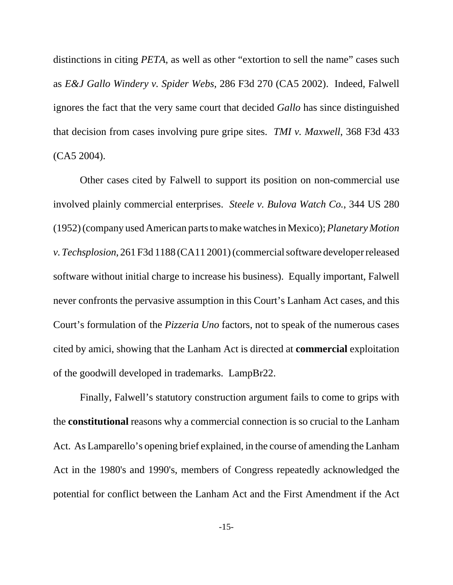distinctions in citing *PETA*, as well as other "extortion to sell the name" cases such as *E&J Gallo Windery v. Spider Webs*, 286 F3d 270 (CA5 2002). Indeed, Falwell ignores the fact that the very same court that decided *Gallo* has since distinguished that decision from cases involving pure gripe sites. *TMI v. Maxwell*, 368 F3d 433 (CA5 2004).

Other cases cited by Falwell to support its position on non-commercial use involved plainly commercial enterprises. *Steele v. Bulova Watch Co.*, 344 US 280 (1952) (company used American parts to make watches in Mexico); *Planetary Motion v. Techsplosion*, 261 F3d 1188 (CA11 2001) (commercial software developer released software without initial charge to increase his business). Equally important, Falwell never confronts the pervasive assumption in this Court's Lanham Act cases, and this Court's formulation of the *Pizzeria Uno* factors, not to speak of the numerous cases cited by amici, showing that the Lanham Act is directed at **commercial** exploitation of the goodwill developed in trademarks. LampBr22.

Finally, Falwell's statutory construction argument fails to come to grips with the **constitutional** reasons why a commercial connection is so crucial to the Lanham Act. As Lamparello's opening brief explained, in the course of amending the Lanham Act in the 1980's and 1990's, members of Congress repeatedly acknowledged the potential for conflict between the Lanham Act and the First Amendment if the Act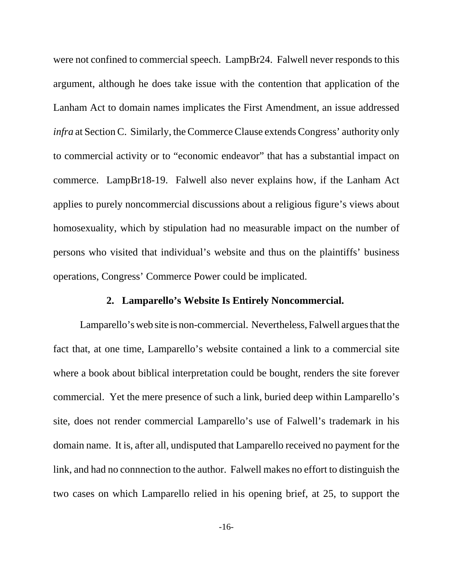were not confined to commercial speech. LampBr24. Falwell never responds to this argument, although he does take issue with the contention that application of the Lanham Act to domain names implicates the First Amendment, an issue addressed *infra* at Section C. Similarly, the Commerce Clause extends Congress' authority only to commercial activity or to "economic endeavor" that has a substantial impact on commerce. LampBr18-19. Falwell also never explains how, if the Lanham Act applies to purely noncommercial discussions about a religious figure's views about homosexuality, which by stipulation had no measurable impact on the number of persons who visited that individual's website and thus on the plaintiffs' business operations, Congress' Commerce Power could be implicated.

#### **2. Lamparello's Website Is Entirely Noncommercial.**

Lamparello's web site is non-commercial. Nevertheless, Falwell argues that the fact that, at one time, Lamparello's website contained a link to a commercial site where a book about biblical interpretation could be bought, renders the site forever commercial. Yet the mere presence of such a link, buried deep within Lamparello's site, does not render commercial Lamparello's use of Falwell's trademark in his domain name. It is, after all, undisputed that Lamparello received no payment for the link, and had no connnection to the author. Falwell makes no effort to distinguish the two cases on which Lamparello relied in his opening brief, at 25, to support the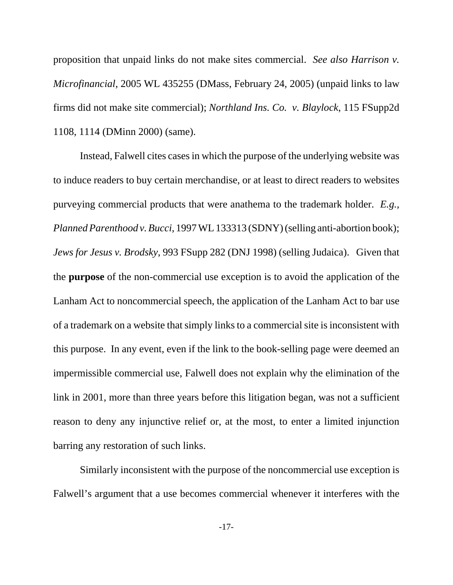proposition that unpaid links do not make sites commercial. *See also Harrison v. Microfinancial*, 2005 WL 435255 (DMass, February 24, 2005) (unpaid links to law firms did not make site commercial); *Northland Ins. Co. v. Blaylock*, 115 FSupp2d 1108, 1114 (DMinn 2000) (same).

Instead, Falwell cites cases in which the purpose of the underlying website was to induce readers to buy certain merchandise, or at least to direct readers to websites purveying commercial products that were anathema to the trademark holder. *E.g., Planned Parenthood v. Bucci*, 1997 WL 133313 (SDNY) (selling anti-abortion book); *Jews for Jesus v. Brodsky*, 993 FSupp 282 (DNJ 1998) (selling Judaica). Given that the **purpose** of the non-commercial use exception is to avoid the application of the Lanham Act to noncommercial speech, the application of the Lanham Act to bar use of a trademark on a website that simply links to a commercial site is inconsistent with this purpose. In any event, even if the link to the book-selling page were deemed an impermissible commercial use, Falwell does not explain why the elimination of the link in 2001, more than three years before this litigation began, was not a sufficient reason to deny any injunctive relief or, at the most, to enter a limited injunction barring any restoration of such links.

Similarly inconsistent with the purpose of the noncommercial use exception is Falwell's argument that a use becomes commercial whenever it interferes with the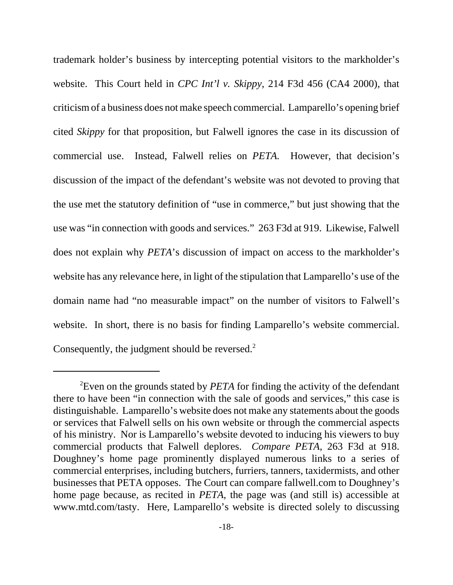trademark holder's business by intercepting potential visitors to the markholder's website. This Court held in *CPC Int'l v. Skippy*, 214 F3d 456 (CA4 2000), that criticism of a business does not make speech commercial. Lamparello's opening brief cited *Skippy* for that proposition, but Falwell ignores the case in its discussion of commercial use. Instead, Falwell relies on *PETA.* However, that decision's discussion of the impact of the defendant's website was not devoted to proving that the use met the statutory definition of "use in commerce," but just showing that the use was "in connection with goods and services." 263 F3d at 919. Likewise, Falwell does not explain why *PETA*'s discussion of impact on access to the markholder's website has any relevance here, in light of the stipulation that Lamparello's use of the domain name had "no measurable impact" on the number of visitors to Falwell's website. In short, there is no basis for finding Lamparello's website commercial. Consequently, the judgment should be reversed.<sup>2</sup>

<sup>2</sup> Even on the grounds stated by *PETA* for finding the activity of the defendant there to have been "in connection with the sale of goods and services," this case is distinguishable. Lamparello's website does not make any statements about the goods or services that Falwell sells on his own website or through the commercial aspects of his ministry. Nor is Lamparello's website devoted to inducing his viewers to buy commercial products that Falwell deplores. *Compare PETA*, 263 F3d at 918. Doughney's home page prominently displayed numerous links to a series of commercial enterprises, including butchers, furriers, tanners, taxidermists, and other businesses that PETA opposes. The Court can compare fallwell.com to Doughney's home page because, as recited in *PETA*, the page was (and still is) accessible at www.mtd.com/tasty. Here, Lamparello's website is directed solely to discussing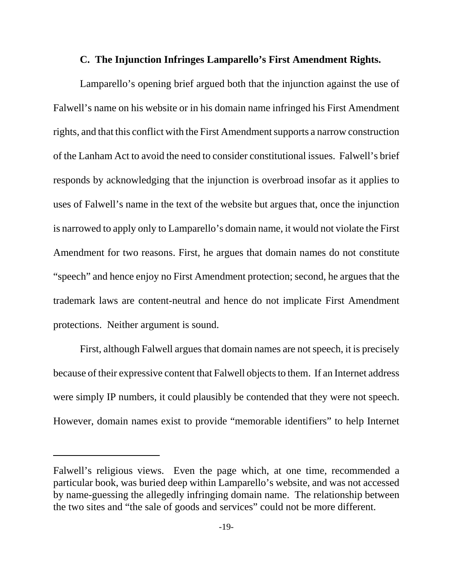#### **C. The Injunction Infringes Lamparello's First Amendment Rights.**

Lamparello's opening brief argued both that the injunction against the use of Falwell's name on his website or in his domain name infringed his First Amendment rights, and that this conflict with the First Amendment supports a narrow construction of the Lanham Act to avoid the need to consider constitutional issues. Falwell's brief responds by acknowledging that the injunction is overbroad insofar as it applies to uses of Falwell's name in the text of the website but argues that, once the injunction is narrowed to apply only to Lamparello's domain name, it would not violate the First Amendment for two reasons. First, he argues that domain names do not constitute "speech" and hence enjoy no First Amendment protection; second, he argues that the trademark laws are content-neutral and hence do not implicate First Amendment protections. Neither argument is sound.

First, although Falwell argues that domain names are not speech, it is precisely because of their expressive content that Falwell objects to them. If an Internet address were simply IP numbers, it could plausibly be contended that they were not speech. However, domain names exist to provide "memorable identifiers" to help Internet

Falwell's religious views. Even the page which, at one time, recommended a particular book, was buried deep within Lamparello's website, and was not accessed by name-guessing the allegedly infringing domain name. The relationship between the two sites and "the sale of goods and services" could not be more different.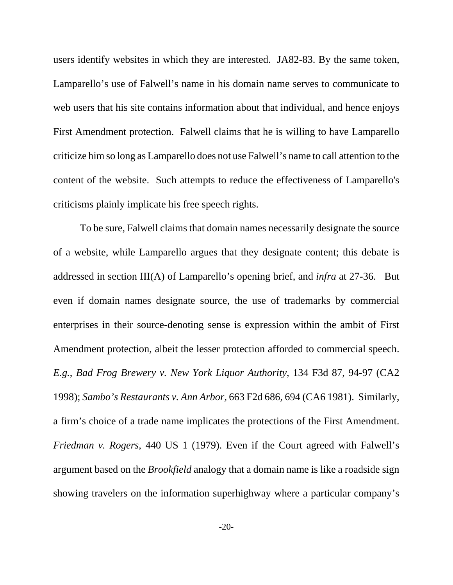users identify websites in which they are interested. JA82-83. By the same token, Lamparello's use of Falwell's name in his domain name serves to communicate to web users that his site contains information about that individual, and hence enjoys First Amendment protection. Falwell claims that he is willing to have Lamparello criticize him so long as Lamparello does not use Falwell's name to call attention to the content of the website. Such attempts to reduce the effectiveness of Lamparello's criticisms plainly implicate his free speech rights.

To be sure, Falwell claims that domain names necessarily designate the source of a website, while Lamparello argues that they designate content; this debate is addressed in section III(A) of Lamparello's opening brief, and *infra* at 27-36. But even if domain names designate source, the use of trademarks by commercial enterprises in their source-denoting sense is expression within the ambit of First Amendment protection, albeit the lesser protection afforded to commercial speech. *E.g.*, *Bad Frog Brewery v. New York Liquor Authority*, 134 F3d 87, 94-97 (CA2 1998); *Sambo's Restaurants v. Ann Arbor,* 663 F2d 686, 694 (CA6 1981). Similarly, a firm's choice of a trade name implicates the protections of the First Amendment. *Friedman v. Rogers*, 440 US 1 (1979). Even if the Court agreed with Falwell's argument based on the *Brookfield* analogy that a domain name is like a roadside sign showing travelers on the information superhighway where a particular company's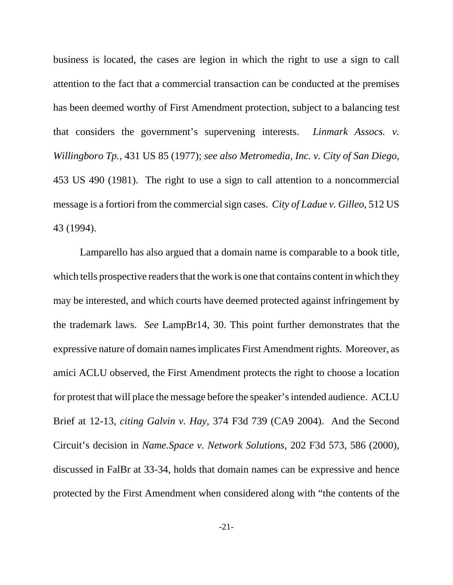business is located, the cases are legion in which the right to use a sign to call attention to the fact that a commercial transaction can be conducted at the premises has been deemed worthy of First Amendment protection, subject to a balancing test that considers the government's supervening interests. *Linmark Assocs. v. Willingboro Tp.*, 431 US 85 (1977); *see also Metromedia, Inc. v. City of San Diego*, 453 US 490 (1981). The right to use a sign to call attention to a noncommercial message is a fortiori from the commercial sign cases. *City of Ladue v. Gilleo*, 512 US 43 (1994).

Lamparello has also argued that a domain name is comparable to a book title, which tells prospective readers that the work is one that contains content in which they may be interested, and which courts have deemed protected against infringement by the trademark laws. *See* LampBr14, 30. This point further demonstrates that the expressive nature of domain names implicates First Amendment rights. Moreover, as amici ACLU observed, the First Amendment protects the right to choose a location for protest that will place the message before the speaker's intended audience. ACLU Brief at 12-13, *citing Galvin v. Hay*, 374 F3d 739 (CA9 2004). And the Second Circuit's decision in *Name.Space v. Network Solutions*, 202 F3d 573, 586 (2000), discussed in FalBr at 33-34, holds that domain names can be expressive and hence protected by the First Amendment when considered along with "the contents of the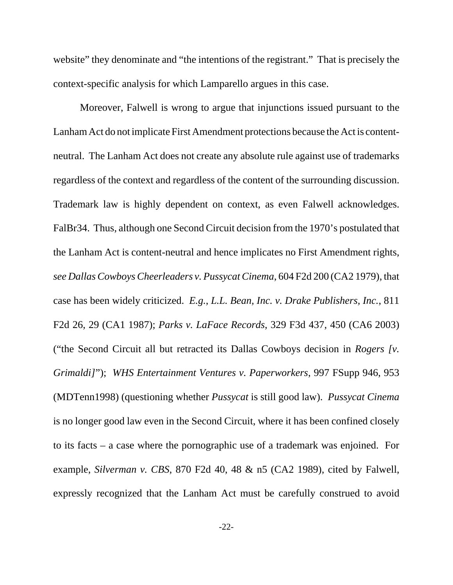website" they denominate and "the intentions of the registrant." That is precisely the context-specific analysis for which Lamparello argues in this case.

Moreover, Falwell is wrong to argue that injunctions issued pursuant to the Lanham Act do not implicate First Amendment protections because the Act is contentneutral. The Lanham Act does not create any absolute rule against use of trademarks regardless of the context and regardless of the content of the surrounding discussion. Trademark law is highly dependent on context, as even Falwell acknowledges. FalBr34. Thus, although one Second Circuit decision from the 1970's postulated that the Lanham Act is content-neutral and hence implicates no First Amendment rights, *see Dallas Cowboys Cheerleaders v. Pussycat Cinema*, 604 F2d 200 (CA2 1979), that case has been widely criticized. *E.g.*, *L.L. Bean, Inc. v. Drake Publishers, Inc.*, 811 F2d 26, 29 (CA1 1987); *Parks v. LaFace Records*, 329 F3d 437, 450 (CA6 2003) ("the Second Circuit all but retracted its Dallas Cowboys decision in *Rogers [v. Grimaldi]*"); *WHS Entertainment Ventures v. Paperworkers*, 997 FSupp 946, 953 (MDTenn1998) (questioning whether *Pussycat* is still good law). *Pussycat Cinema* is no longer good law even in the Second Circuit, where it has been confined closely to its facts – a case where the pornographic use of a trademark was enjoined. For example, *Silverman v. CBS*, 870 F2d 40, 48 & n5 (CA2 1989), cited by Falwell, expressly recognized that the Lanham Act must be carefully construed to avoid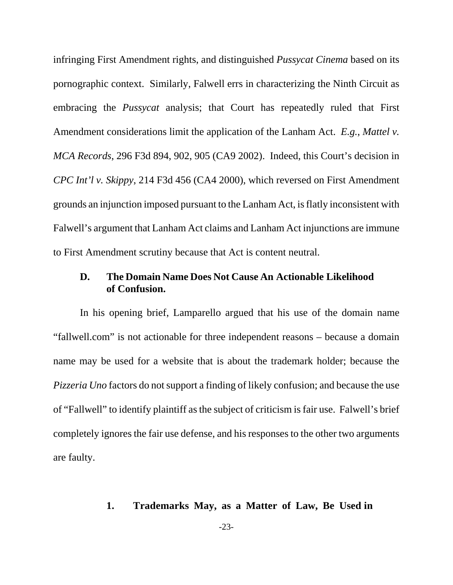infringing First Amendment rights, and distinguished *Pussycat Cinema* based on its pornographic context. Similarly, Falwell errs in characterizing the Ninth Circuit as embracing the *Pussycat* analysis; that Court has repeatedly ruled that First Amendment considerations limit the application of the Lanham Act. *E.g.*, *Mattel v. MCA Records*, 296 F3d 894, 902, 905 (CA9 2002). Indeed, this Court's decision in *CPC Int'l v. Skippy*, 214 F3d 456 (CA4 2000), which reversed on First Amendment grounds an injunction imposed pursuant to the Lanham Act, is flatly inconsistent with Falwell's argument that Lanham Act claims and Lanham Act injunctions are immune to First Amendment scrutiny because that Act is content neutral.

# **D. The Domain Name Does Not Cause An Actionable Likelihood of Confusion.**

In his opening brief, Lamparello argued that his use of the domain name "fallwell.com" is not actionable for three independent reasons – because a domain name may be used for a website that is about the trademark holder; because the *Pizzeria Uno* factors do not support a finding of likely confusion; and because the use of "Fallwell" to identify plaintiff as the subject of criticism is fair use. Falwell's brief completely ignores the fair use defense, and his responses to the other two arguments are faulty.

### **1. Trademarks May, as a Matter of Law, Be Used in**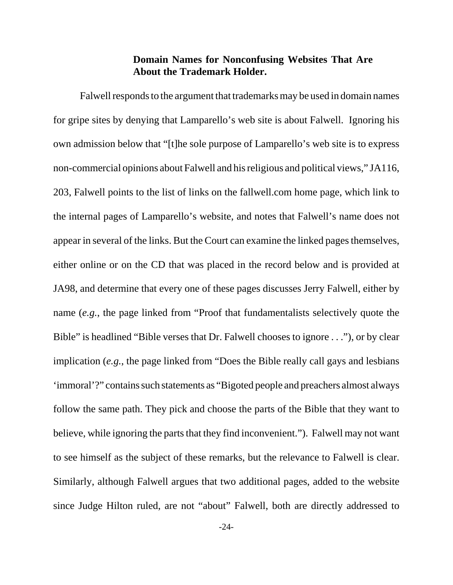# **Domain Names for Nonconfusing Websites That Are About the Trademark Holder.**

Falwell responds to the argument that trademarks may be used in domain names for gripe sites by denying that Lamparello's web site is about Falwell. Ignoring his own admission below that "[t]he sole purpose of Lamparello's web site is to express non-commercial opinions about Falwell and his religious and political views," JA116, 203, Falwell points to the list of links on the fallwell.com home page, which link to the internal pages of Lamparello's website, and notes that Falwell's name does not appear in several of the links. But the Court can examine the linked pages themselves, either online or on the CD that was placed in the record below and is provided at JA98, and determine that every one of these pages discusses Jerry Falwell, either by name (*e.g.*, the page linked from "Proof that fundamentalists selectively quote the Bible" is headlined "Bible verses that Dr. Falwell chooses to ignore . . ."), or by clear implication (*e.g.*, the page linked from "Does the Bible really call gays and lesbians 'immoral'?" contains such statements as "Bigoted people and preachers almost always follow the same path. They pick and choose the parts of the Bible that they want to believe, while ignoring the parts that they find inconvenient."). Falwell may not want to see himself as the subject of these remarks, but the relevance to Falwell is clear. Similarly, although Falwell argues that two additional pages, added to the website since Judge Hilton ruled, are not "about" Falwell, both are directly addressed to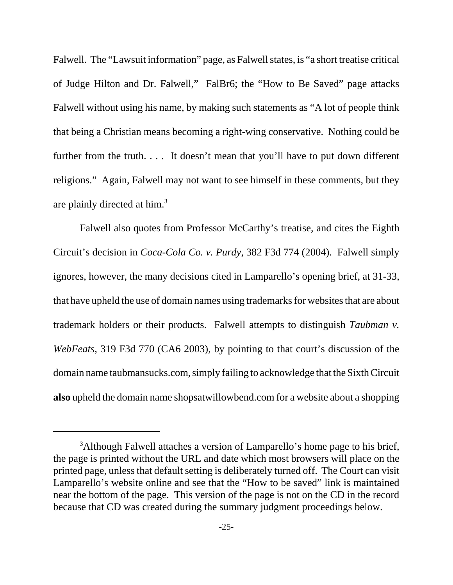Falwell. The "Lawsuit information" page, as Falwell states, is "a short treatise critical of Judge Hilton and Dr. Falwell," FalBr6; the "How to Be Saved" page attacks Falwell without using his name, by making such statements as "A lot of people think that being a Christian means becoming a right-wing conservative. Nothing could be further from the truth. . . . It doesn't mean that you'll have to put down different religions." Again, Falwell may not want to see himself in these comments, but they are plainly directed at him.3

Falwell also quotes from Professor McCarthy's treatise, and cites the Eighth Circuit's decision in *Coca-Cola Co. v. Purdy*, 382 F3d 774 (2004). Falwell simply ignores, however, the many decisions cited in Lamparello's opening brief, at 31-33, that have upheld the use of domain names using trademarks for websites that are about trademark holders or their products. Falwell attempts to distinguish *Taubman v. WebFeats*, 319 F3d 770 (CA6 2003), by pointing to that court's discussion of the domain name taubmansucks.com, simply failing to acknowledge that the Sixth Circuit **also** upheld the domain name shopsatwillowbend.com for a website about a shopping

<sup>&</sup>lt;sup>3</sup>Although Falwell attaches a version of Lamparello's home page to his brief, the page is printed without the URL and date which most browsers will place on the printed page, unless that default setting is deliberately turned off. The Court can visit Lamparello's website online and see that the "How to be saved" link is maintained near the bottom of the page. This version of the page is not on the CD in the record because that CD was created during the summary judgment proceedings below.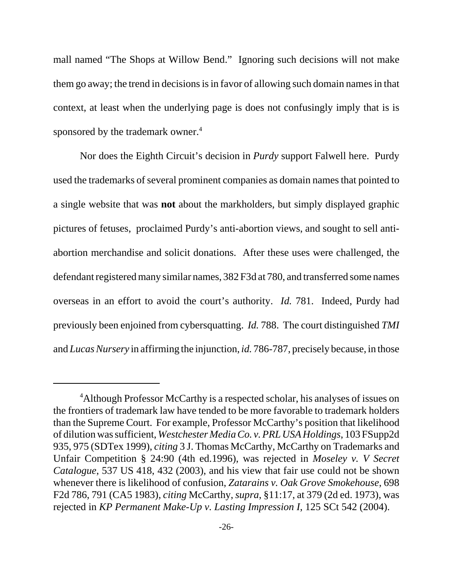mall named "The Shops at Willow Bend." Ignoring such decisions will not make them go away; the trend in decisions is in favor of allowing such domain names in that context, at least when the underlying page is does not confusingly imply that is is sponsored by the trademark owner.<sup>4</sup>

Nor does the Eighth Circuit's decision in *Purdy* support Falwell here. Purdy used the trademarks of several prominent companies as domain names that pointed to a single website that was **not** about the markholders, but simply displayed graphic pictures of fetuses, proclaimed Purdy's anti-abortion views, and sought to sell antiabortion merchandise and solicit donations. After these uses were challenged, the defendant registered many similar names, 382 F3d at 780, and transferred some names overseas in an effort to avoid the court's authority. *Id.* 781. Indeed, Purdy had previously been enjoined from cybersquatting. *Id.* 788. The court distinguished *TMI* and *Lucas Nursery* in affirming the injunction, *id.* 786-787, precisely because, in those

<sup>&</sup>lt;sup>4</sup>Although Professor McCarthy is a respected scholar, his analyses of issues on the frontiers of trademark law have tended to be more favorable to trademark holders than the Supreme Court. For example, Professor McCarthy's position that likelihood of dilution was sufficient, *Westchester Media Co. v. PRL USA Holdings*, 103 FSupp2d 935, 975 (SDTex 1999), *citing* 3 J. Thomas McCarthy, McCarthy on Trademarks and Unfair Competition § 24:90 (4th ed.1996), was rejected in *Moseley v. V Secret Catalogue*, 537 US 418, 432 (2003), and his view that fair use could not be shown whenever there is likelihood of confusion, *Zatarains v. Oak Grove Smokehouse*, 698 F2d 786, 791 (CA5 1983), *citing* McCarthy, *supra*, §11:17, at 379 (2d ed. 1973), was rejected in *KP Permanent Make-Up v. Lasting Impression I*, 125 SCt 542 (2004).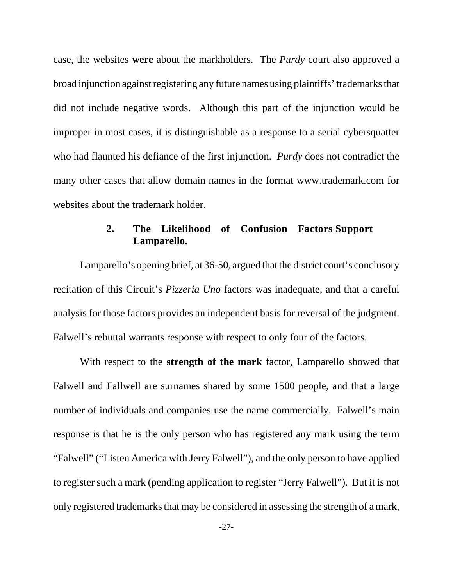case, the websites **were** about the markholders. The *Purdy* court also approved a broad injunction against registering any future names using plaintiffs' trademarks that did not include negative words. Although this part of the injunction would be improper in most cases, it is distinguishable as a response to a serial cybersquatter who had flaunted his defiance of the first injunction. *Purdy* does not contradict the many other cases that allow domain names in the format www.trademark.com for websites about the trademark holder.

# **2. The Likelihood of Confusion Factors Support Lamparello.**

Lamparello's opening brief, at 36-50, argued that the district court's conclusory recitation of this Circuit's *Pizzeria Uno* factors was inadequate, and that a careful analysis for those factors provides an independent basis for reversal of the judgment. Falwell's rebuttal warrants response with respect to only four of the factors.

With respect to the **strength of the mark** factor, Lamparello showed that Falwell and Fallwell are surnames shared by some 1500 people, and that a large number of individuals and companies use the name commercially. Falwell's main response is that he is the only person who has registered any mark using the term "Falwell" ("Listen America with Jerry Falwell"), and the only person to have applied to register such a mark (pending application to register "Jerry Falwell"). But it is not only registered trademarks that may be considered in assessing the strength of a mark,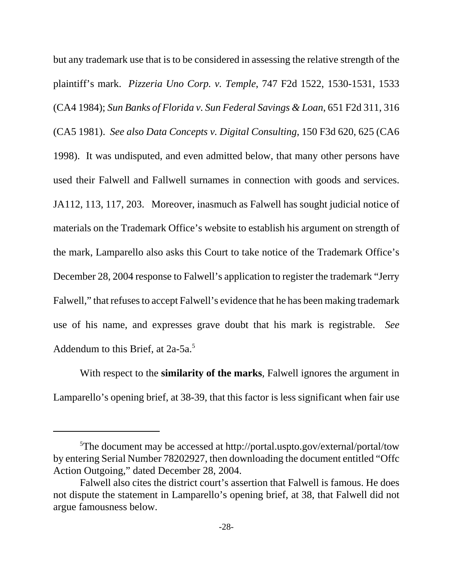but any trademark use that is to be considered in assessing the relative strength of the plaintiff's mark. *Pizzeria Uno Corp. v. Temple*, 747 F2d 1522, 1530-1531, 1533 (CA4 1984); *Sun Banks of Florida v. Sun Federal Savings & Loan*, 651 F2d 311, 316 (CA5 1981). *See also Data Concepts v. Digital Consulting*, 150 F3d 620, 625 (CA6 1998). It was undisputed, and even admitted below, that many other persons have used their Falwell and Fallwell surnames in connection with goods and services. JA112, 113, 117, 203. Moreover, inasmuch as Falwell has sought judicial notice of materials on the Trademark Office's website to establish his argument on strength of the mark, Lamparello also asks this Court to take notice of the Trademark Office's December 28, 2004 response to Falwell's application to register the trademark "Jerry Falwell," that refuses to accept Falwell's evidence that he has been making trademark use of his name, and expresses grave doubt that his mark is registrable. *See* Addendum to this Brief, at 2a-5a.<sup>5</sup>

With respect to the **similarity of the marks**, Falwell ignores the argument in Lamparello's opening brief, at 38-39, that this factor is less significant when fair use

<sup>&</sup>lt;sup>5</sup>The document may be accessed at http://portal.uspto.gov/external/portal/tow by entering Serial Number 78202927, then downloading the document entitled "Offc Action Outgoing," dated December 28, 2004.

Falwell also cites the district court's assertion that Falwell is famous. He does not dispute the statement in Lamparello's opening brief, at 38, that Falwell did not argue famousness below.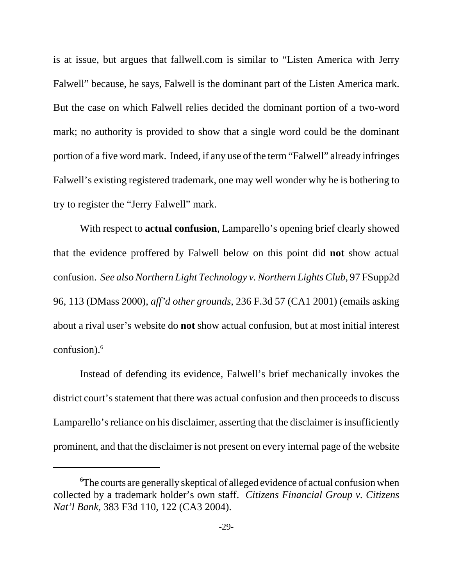is at issue, but argues that fallwell.com is similar to "Listen America with Jerry Falwell" because, he says, Falwell is the dominant part of the Listen America mark. But the case on which Falwell relies decided the dominant portion of a two-word mark; no authority is provided to show that a single word could be the dominant portion of a five word mark. Indeed, if any use of the term "Falwell" already infringes Falwell's existing registered trademark, one may well wonder why he is bothering to try to register the "Jerry Falwell" mark.

With respect to **actual confusion**, Lamparello's opening brief clearly showed that the evidence proffered by Falwell below on this point did **not** show actual confusion. *See also Northern Light Technology v. Northern Lights Club*, 97 FSupp2d 96, 113 (DMass 2000), *aff'd other grounds*, 236 F.3d 57 (CA1 2001) (emails asking about a rival user's website do **not** show actual confusion, but at most initial interest confusion).<sup>6</sup>

Instead of defending its evidence, Falwell's brief mechanically invokes the district court's statement that there was actual confusion and then proceeds to discuss Lamparello's reliance on his disclaimer, asserting that the disclaimer is insufficiently prominent, and that the disclaimer is not present on every internal page of the website

<sup>&</sup>lt;sup>6</sup>The courts are generally skeptical of alleged evidence of actual confusion when collected by a trademark holder's own staff. *Citizens Financial Group v. Citizens Nat'l Bank*, 383 F3d 110, 122 (CA3 2004).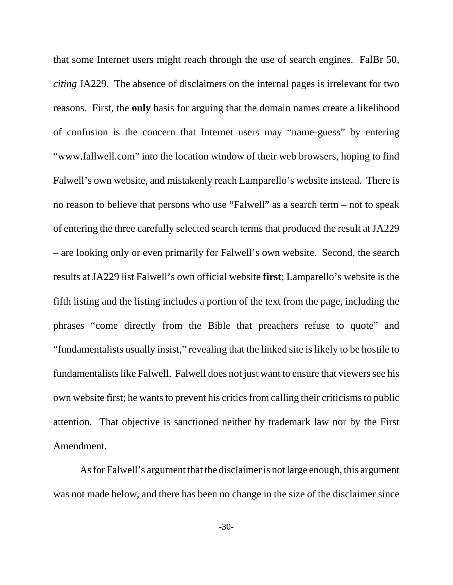that some Internet users might reach through the use of search engines. FalBr 50, *citing* JA229. The absence of disclaimers on the internal pages is irrelevant for two reasons. First, the **only** basis for arguing that the domain names create a likelihood of confusion is the concern that Internet users may "name-guess" by entering "www.fallwell.com" into the location window of their web browsers, hoping to find Falwell's own website, and mistakenly reach Lamparello's website instead. There is no reason to believe that persons who use "Falwell" as a search term – not to speak of entering the three carefully selected search terms that produced the result at JA229 – are looking only or even primarily for Falwell's own website. Second, the search results at JA229 list Falwell's own official website **first**; Lamparello's website is the fifth listing and the listing includes a portion of the text from the page, including the phrases "come directly from the Bible that preachers refuse to quote" and "fundamentalists usually insist," revealing that the linked site is likely to be hostile to fundamentalists like Falwell. Falwell does not just want to ensure that viewers see his own website first; he wants to prevent his critics from calling their criticisms to public attention. That objective is sanctioned neither by trademark law nor by the First Amendment.

As for Falwell's argument that the disclaimer is not large enough, this argument was not made below, and there has been no change in the size of the disclaimer since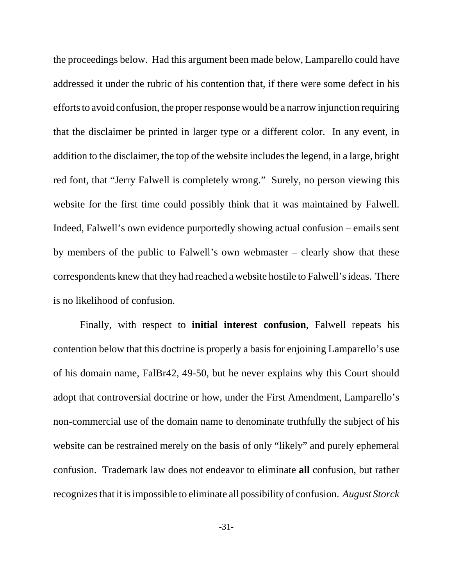the proceedings below. Had this argument been made below, Lamparello could have addressed it under the rubric of his contention that, if there were some defect in his efforts to avoid confusion, the proper response would be a narrow injunction requiring that the disclaimer be printed in larger type or a different color. In any event, in addition to the disclaimer, the top of the website includes the legend, in a large, bright red font, that "Jerry Falwell is completely wrong." Surely, no person viewing this website for the first time could possibly think that it was maintained by Falwell. Indeed, Falwell's own evidence purportedly showing actual confusion – emails sent by members of the public to Falwell's own webmaster – clearly show that these correspondents knew that they had reached a website hostile to Falwell's ideas. There is no likelihood of confusion.

Finally, with respect to **initial interest confusion**, Falwell repeats his contention below that this doctrine is properly a basis for enjoining Lamparello's use of his domain name, FalBr42, 49-50, but he never explains why this Court should adopt that controversial doctrine or how, under the First Amendment, Lamparello's non-commercial use of the domain name to denominate truthfully the subject of his website can be restrained merely on the basis of only "likely" and purely ephemeral confusion. Trademark law does not endeavor to eliminate **all** confusion, but rather recognizes that it is impossible to eliminate all possibility of confusion. *August Storck*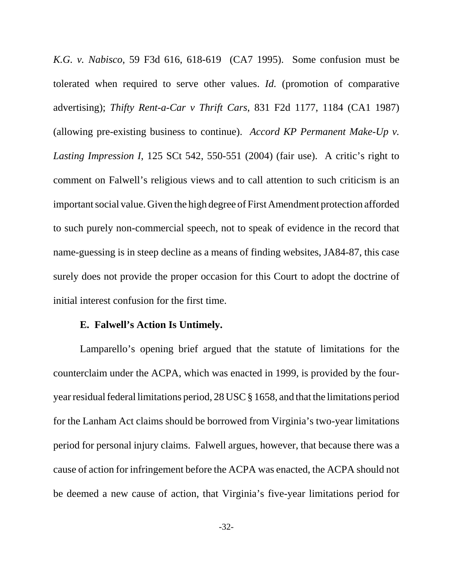*K.G. v. Nabisco*, 59 F3d 616, 618-619 (CA7 1995). Some confusion must be tolerated when required to serve other values. *Id.* (promotion of comparative advertising); *Thifty Rent-a-Car v Thrift Cars*, 831 F2d 1177, 1184 (CA1 1987) (allowing pre-existing business to continue). *Accord KP Permanent Make-Up v. Lasting Impression I*, 125 SCt 542, 550-551 (2004) (fair use). A critic's right to comment on Falwell's religious views and to call attention to such criticism is an important social value. Given the high degree of First Amendment protection afforded to such purely non-commercial speech, not to speak of evidence in the record that name-guessing is in steep decline as a means of finding websites, JA84-87, this case surely does not provide the proper occasion for this Court to adopt the doctrine of initial interest confusion for the first time.

#### **E. Falwell's Action Is Untimely.**

Lamparello's opening brief argued that the statute of limitations for the counterclaim under the ACPA, which was enacted in 1999, is provided by the fouryear residual federal limitations period, 28 USC § 1658, and that the limitations period for the Lanham Act claims should be borrowed from Virginia's two-year limitations period for personal injury claims. Falwell argues, however, that because there was a cause of action for infringement before the ACPA was enacted, the ACPA should not be deemed a new cause of action, that Virginia's five-year limitations period for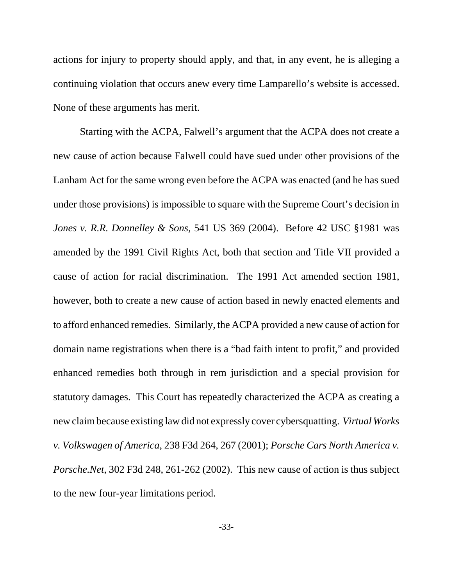actions for injury to property should apply, and that, in any event, he is alleging a continuing violation that occurs anew every time Lamparello's website is accessed. None of these arguments has merit.

Starting with the ACPA, Falwell's argument that the ACPA does not create a new cause of action because Falwell could have sued under other provisions of the Lanham Act for the same wrong even before the ACPA was enacted (and he has sued under those provisions) is impossible to square with the Supreme Court's decision in *Jones v. R.R. Donnelley & Sons,* 541 US 369 (2004). Before 42 USC §1981 was amended by the 1991 Civil Rights Act, both that section and Title VII provided a cause of action for racial discrimination. The 1991 Act amended section 1981, however, both to create a new cause of action based in newly enacted elements and to afford enhanced remedies. Similarly, the ACPA provided a new cause of action for domain name registrations when there is a "bad faith intent to profit," and provided enhanced remedies both through in rem jurisdiction and a special provision for statutory damages. This Court has repeatedly characterized the ACPA as creating a new claim because existing law did not expressly cover cybersquatting. *Virtual Works v. Volkswagen of America*, 238 F3d 264, 267 (2001); *Porsche Cars North America v. Porsche.Net*, 302 F3d 248, 261-262 (2002). This new cause of action is thus subject to the new four-year limitations period.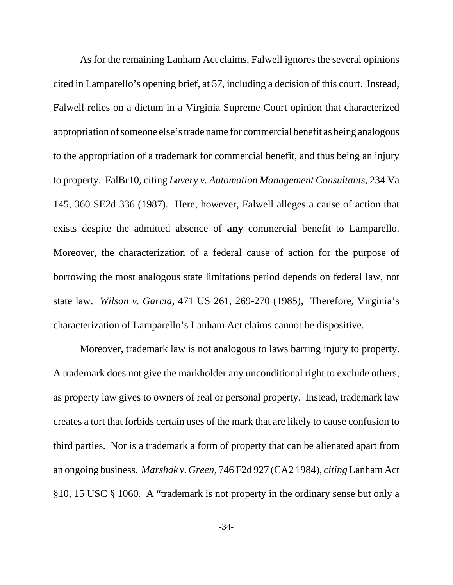As for the remaining Lanham Act claims, Falwell ignores the several opinions cited in Lamparello's opening brief, at 57, including a decision of this court. Instead, Falwell relies on a dictum in a Virginia Supreme Court opinion that characterized appropriation of someone else's trade name for commercial benefit as being analogous to the appropriation of a trademark for commercial benefit, and thus being an injury to property. FalBr10, citing *Lavery v. Automation Management Consultants*, 234 Va 145, 360 SE2d 336 (1987). Here, however, Falwell alleges a cause of action that exists despite the admitted absence of **any** commercial benefit to Lamparello. Moreover, the characterization of a federal cause of action for the purpose of borrowing the most analogous state limitations period depends on federal law, not state law. *Wilson v. Garcia*, 471 US 261, 269-270 (1985), Therefore, Virginia's characterization of Lamparello's Lanham Act claims cannot be dispositive.

Moreover, trademark law is not analogous to laws barring injury to property. A trademark does not give the markholder any unconditional right to exclude others, as property law gives to owners of real or personal property. Instead, trademark law creates a tort that forbids certain uses of the mark that are likely to cause confusion to third parties. Nor is a trademark a form of property that can be alienated apart from an ongoing business. *Marshak v. Green*, 746 F2d 927 (CA2 1984), *citing* Lanham Act §10, 15 USC § 1060. A "trademark is not property in the ordinary sense but only a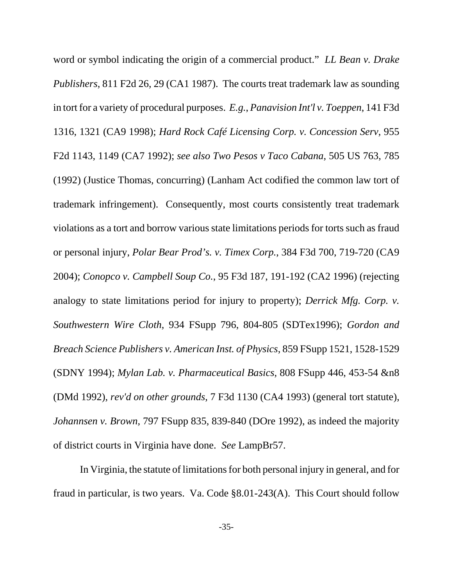word or symbol indicating the origin of a commercial product." *LL Bean v. Drake Publishers*, 811 F2d 26, 29 (CA1 1987). The courts treat trademark law as sounding in tort for a variety of procedural purposes. *E.g.*, *Panavision Int'l v. Toeppen*, 141 F3d 1316, 1321 (CA9 1998); *Hard Rock Café Licensing Corp. v. Concession Serv*, 955 F2d 1143, 1149 (CA7 1992); *see also Two Pesos v Taco Cabana*, 505 US 763, 785 (1992) (Justice Thomas, concurring) (Lanham Act codified the common law tort of trademark infringement). Consequently, most courts consistently treat trademark violations as a tort and borrow various state limitations periods for torts such as fraud or personal injury, *Polar Bear Prod's. v. Timex Corp.*, 384 F3d 700, 719-720 (CA9 2004); *Conopco v. Campbell Soup Co.*, 95 F3d 187, 191-192 (CA2 1996) (rejecting analogy to state limitations period for injury to property); *Derrick Mfg. Corp. v. Southwestern Wire Cloth*, 934 FSupp 796, 804-805 (SDTex1996); *Gordon and Breach Science Publishers v. American Inst. of Physics*, 859 FSupp 1521, 1528-1529 (SDNY 1994); *Mylan Lab. v. Pharmaceutical Basics*, 808 FSupp 446, 453-54 &n8 (DMd 1992), *rev'd on other grounds*, 7 F3d 1130 (CA4 1993) (general tort statute), *Johannsen v. Brown*, 797 FSupp 835, 839-840 (DOre 1992), as indeed the majority of district courts in Virginia have done. *See* LampBr57.

In Virginia, the statute of limitations for both personal injury in general, and for fraud in particular, is two years. Va. Code §8.01-243(A). This Court should follow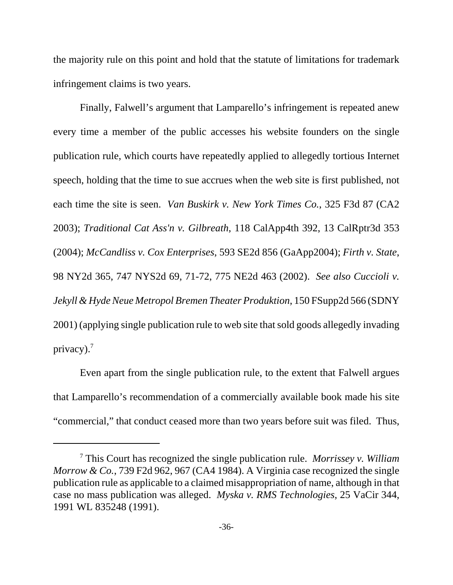the majority rule on this point and hold that the statute of limitations for trademark infringement claims is two years.

Finally, Falwell's argument that Lamparello's infringement is repeated anew every time a member of the public accesses his website founders on the single publication rule, which courts have repeatedly applied to allegedly tortious Internet speech, holding that the time to sue accrues when the web site is first published, not each time the site is seen. *Van Buskirk v. New York Times Co.*, 325 F3d 87 (CA2 2003); *Traditional Cat Ass'n v. Gilbreath*, 118 CalApp4th 392, 13 CalRptr3d 353 (2004); *McCandliss v. Cox Enterprises*, 593 SE2d 856 (GaApp2004); *Firth v. State*, 98 NY2d 365, 747 NYS2d 69, 71-72, 775 NE2d 463 (2002). *See also Cuccioli v. Jekyll & Hyde Neue Metropol Bremen Theater Produktion*, 150 FSupp2d 566 (SDNY 2001) (applying single publication rule to web site that sold goods allegedly invading privacy). $7$ 

Even apart from the single publication rule, to the extent that Falwell argues that Lamparello's recommendation of a commercially available book made his site "commercial," that conduct ceased more than two years before suit was filed. Thus,

<sup>7</sup> This Court has recognized the single publication rule. *Morrissey v. William Morrow & Co.*, 739 F2d 962, 967 (CA4 1984). A Virginia case recognized the single publication rule as applicable to a claimed misappropriation of name, although in that case no mass publication was alleged. *Myska v. RMS Technologies*, 25 VaCir 344, 1991 WL 835248 (1991).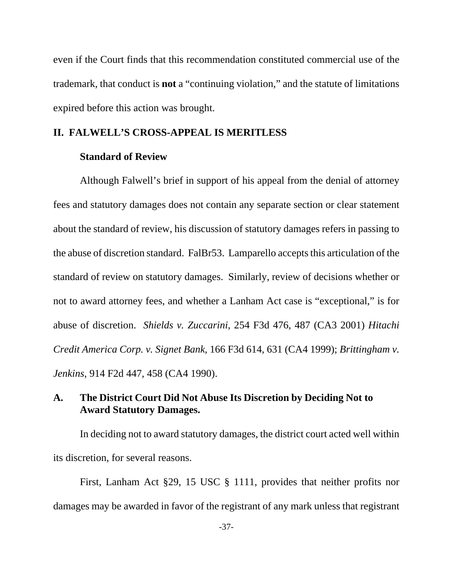even if the Court finds that this recommendation constituted commercial use of the trademark, that conduct is **not** a "continuing violation," and the statute of limitations expired before this action was brought.

### **II. FALWELL'S CROSS-APPEAL IS MERITLESS**

### **Standard of Review**

Although Falwell's brief in support of his appeal from the denial of attorney fees and statutory damages does not contain any separate section or clear statement about the standard of review, his discussion of statutory damages refers in passing to the abuse of discretion standard. FalBr53. Lamparello accepts this articulation of the standard of review on statutory damages. Similarly, review of decisions whether or not to award attorney fees, and whether a Lanham Act case is "exceptional," is for abuse of discretion. *Shields v. Zuccarini*, 254 F3d 476, 487 (CA3 2001) *Hitachi Credit America Corp. v. Signet Bank*, 166 F3d 614, 631 (CA4 1999); *Brittingham v. Jenkins*, 914 F2d 447, 458 (CA4 1990).

# **A. The District Court Did Not Abuse Its Discretion by Deciding Not to Award Statutory Damages.**

In deciding not to award statutory damages, the district court acted well within its discretion, for several reasons.

First, Lanham Act §29, 15 USC § 1111, provides that neither profits nor damages may be awarded in favor of the registrant of any mark unless that registrant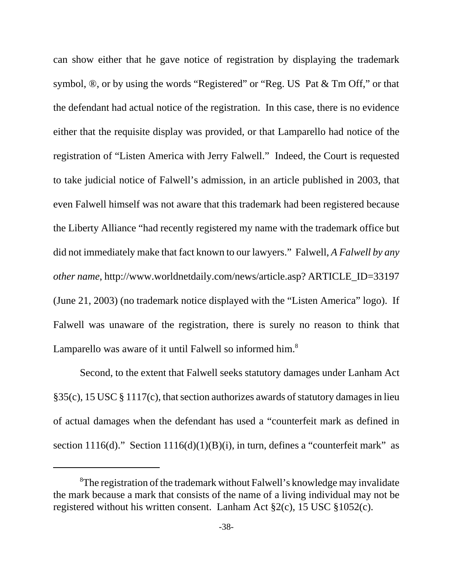can show either that he gave notice of registration by displaying the trademark symbol, ®, or by using the words "Registered" or "Reg. US Pat & Tm Off," or that the defendant had actual notice of the registration. In this case, there is no evidence either that the requisite display was provided, or that Lamparello had notice of the registration of "Listen America with Jerry Falwell." Indeed, the Court is requested to take judicial notice of Falwell's admission, in an article published in 2003, that even Falwell himself was not aware that this trademark had been registered because the Liberty Alliance "had recently registered my name with the trademark office but did not immediately make that fact known to our lawyers." Falwell, *A Falwell by any other name*, http://www.worldnetdaily.com/news/article.asp? ARTICLE\_ID=33197 (June 21, 2003) (no trademark notice displayed with the "Listen America" logo). If Falwell was unaware of the registration, there is surely no reason to think that Lamparello was aware of it until Falwell so informed him.<sup>8</sup>

Second, to the extent that Falwell seeks statutory damages under Lanham Act §35(c), 15 USC § 1117(c), that section authorizes awards of statutory damages in lieu of actual damages when the defendant has used a "counterfeit mark as defined in section 1116(d)." Section 1116(d)(1)(B)(i), in turn, defines a "counterfeit mark" as

<sup>&</sup>lt;sup>8</sup>The registration of the trademark without Falwell's knowledge may invalidate the mark because a mark that consists of the name of a living individual may not be registered without his written consent. Lanham Act §2(c), 15 USC §1052(c).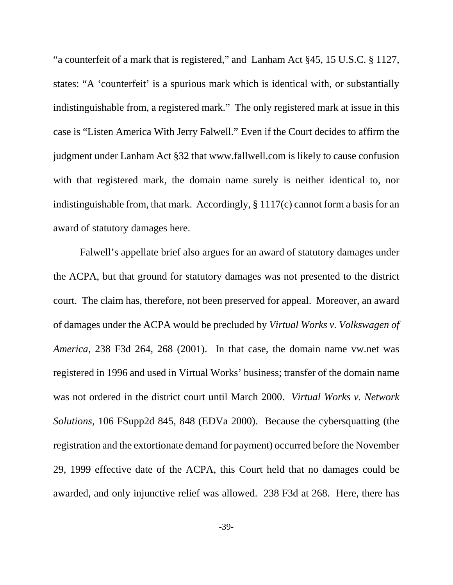"a counterfeit of a mark that is registered," and Lanham Act §45, 15 U.S.C. § 1127, states: "A 'counterfeit' is a spurious mark which is identical with, or substantially indistinguishable from, a registered mark." The only registered mark at issue in this case is "Listen America With Jerry Falwell." Even if the Court decides to affirm the judgment under Lanham Act §32 that www.fallwell.com is likely to cause confusion with that registered mark, the domain name surely is neither identical to, nor indistinguishable from, that mark. Accordingly, § 1117(c) cannot form a basis for an award of statutory damages here.

Falwell's appellate brief also argues for an award of statutory damages under the ACPA, but that ground for statutory damages was not presented to the district court. The claim has, therefore, not been preserved for appeal. Moreover, an award of damages under the ACPA would be precluded by *Virtual Works v. Volkswagen of America*, 238 F3d 264, 268 (2001). In that case, the domain name vw.net was registered in 1996 and used in Virtual Works' business; transfer of the domain name was not ordered in the district court until March 2000. *Virtual Works v. Network Solutions,* 106 FSupp2d 845, 848 (EDVa 2000). Because the cybersquatting (the registration and the extortionate demand for payment) occurred before the November 29, 1999 effective date of the ACPA, this Court held that no damages could be awarded, and only injunctive relief was allowed. 238 F3d at 268. Here, there has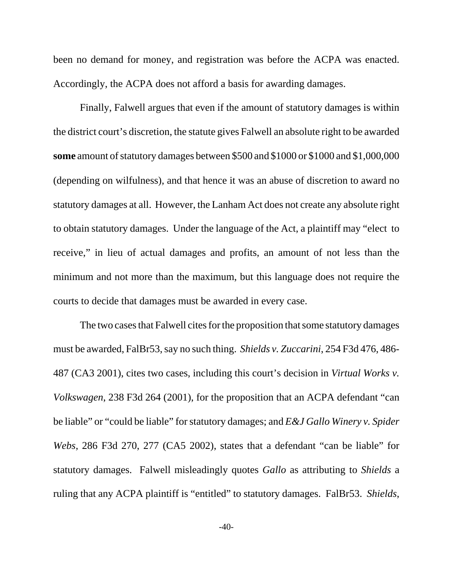been no demand for money, and registration was before the ACPA was enacted. Accordingly, the ACPA does not afford a basis for awarding damages.

Finally, Falwell argues that even if the amount of statutory damages is within the district court's discretion, the statute gives Falwell an absolute right to be awarded **some** amount of statutory damages between \$500 and \$1000 or \$1000 and \$1,000,000 (depending on wilfulness), and that hence it was an abuse of discretion to award no statutory damages at all. However, the Lanham Act does not create any absolute right to obtain statutory damages. Under the language of the Act, a plaintiff may "elect to receive," in lieu of actual damages and profits, an amount of not less than the minimum and not more than the maximum, but this language does not require the courts to decide that damages must be awarded in every case.

The two cases that Falwell cites for the proposition that some statutory damages must be awarded, FalBr53, say no such thing. *Shields v. Zuccarini*, 254 F3d 476, 486- 487 (CA3 2001), cites two cases, including this court's decision in *Virtual Works v. Volkswagen*, 238 F3d 264 (2001), for the proposition that an ACPA defendant "can be liable" or "could be liable" for statutory damages; and *E&J Gallo Winery v. Spider Webs*, 286 F3d 270, 277 (CA5 2002), states that a defendant "can be liable" for statutory damages. Falwell misleadingly quotes *Gallo* as attributing to *Shields* a ruling that any ACPA plaintiff is "entitled" to statutory damages. FalBr53. *Shields*,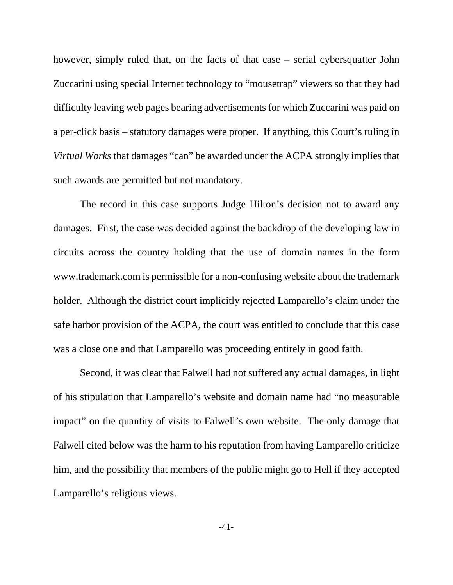however, simply ruled that, on the facts of that case – serial cybersquatter John Zuccarini using special Internet technology to "mousetrap" viewers so that they had difficulty leaving web pages bearing advertisements for which Zuccarini was paid on a per-click basis – statutory damages were proper. If anything, this Court's ruling in *Virtual Works* that damages "can" be awarded under the ACPA strongly implies that such awards are permitted but not mandatory.

The record in this case supports Judge Hilton's decision not to award any damages. First, the case was decided against the backdrop of the developing law in circuits across the country holding that the use of domain names in the form www.trademark.com is permissible for a non-confusing website about the trademark holder. Although the district court implicitly rejected Lamparello's claim under the safe harbor provision of the ACPA, the court was entitled to conclude that this case was a close one and that Lamparello was proceeding entirely in good faith.

Second, it was clear that Falwell had not suffered any actual damages, in light of his stipulation that Lamparello's website and domain name had "no measurable impact" on the quantity of visits to Falwell's own website. The only damage that Falwell cited below was the harm to his reputation from having Lamparello criticize him, and the possibility that members of the public might go to Hell if they accepted Lamparello's religious views.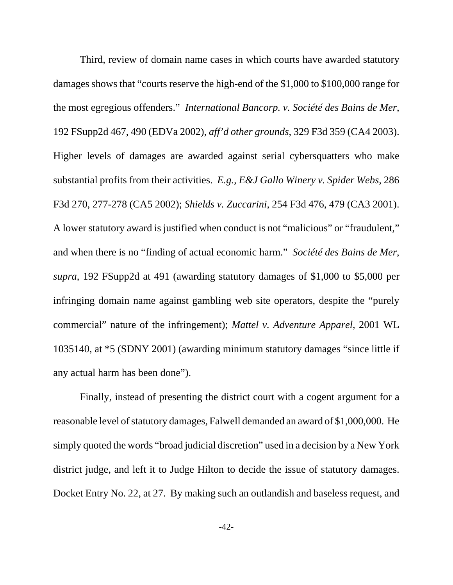Third, review of domain name cases in which courts have awarded statutory damages shows that "courts reserve the high-end of the \$1,000 to \$100,000 range for the most egregious offenders." *International Bancorp. v. Société des Bains de Mer*, 192 FSupp2d 467, 490 (EDVa 2002), *aff'd other grounds*, 329 F3d 359 (CA4 2003). Higher levels of damages are awarded against serial cybersquatters who make substantial profits from their activities. *E.g., E&J Gallo Winery v. Spider Webs*, 286 F3d 270, 277-278 (CA5 2002); *Shields v. Zuccarini*, 254 F3d 476, 479 (CA3 2001). A lower statutory award is justified when conduct is not "malicious" or "fraudulent," and when there is no "finding of actual economic harm." *Société des Bains de Mer*, *supra*, 192 FSupp2d at 491 (awarding statutory damages of \$1,000 to \$5,000 per infringing domain name against gambling web site operators, despite the "purely commercial" nature of the infringement); *Mattel v. Adventure Apparel*, 2001 WL 1035140, at \*5 (SDNY 2001) (awarding minimum statutory damages "since little if any actual harm has been done").

Finally, instead of presenting the district court with a cogent argument for a reasonable level of statutory damages, Falwell demanded an award of \$1,000,000. He simply quoted the words "broad judicial discretion" used in a decision by a New York district judge, and left it to Judge Hilton to decide the issue of statutory damages. Docket Entry No. 22, at 27. By making such an outlandish and baseless request, and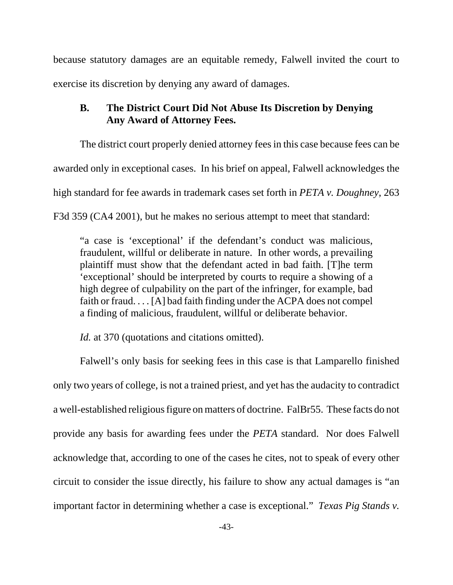because statutory damages are an equitable remedy, Falwell invited the court to exercise its discretion by denying any award of damages.

# **B. The District Court Did Not Abuse Its Discretion by Denying Any Award of Attorney Fees.**

The district court properly denied attorney fees in this case because fees can be awarded only in exceptional cases. In his brief on appeal, Falwell acknowledges the high standard for fee awards in trademark cases set forth in *PETA v. Doughney*, 263 F3d 359 (CA4 2001), but he makes no serious attempt to meet that standard:

"a case is 'exceptional' if the defendant's conduct was malicious, fraudulent, willful or deliberate in nature. In other words, a prevailing plaintiff must show that the defendant acted in bad faith. [T]he term 'exceptional' should be interpreted by courts to require a showing of a high degree of culpability on the part of the infringer, for example, bad faith or fraud. . . . [A] bad faith finding under the ACPA does not compel a finding of malicious, fraudulent, willful or deliberate behavior.

*Id.* at 370 (quotations and citations omitted).

Falwell's only basis for seeking fees in this case is that Lamparello finished only two years of college, is not a trained priest, and yet has the audacity to contradict a well-established religious figure on matters of doctrine. FalBr55. These facts do not provide any basis for awarding fees under the *PETA* standard. Nor does Falwell acknowledge that, according to one of the cases he cites, not to speak of every other circuit to consider the issue directly, his failure to show any actual damages is "an important factor in determining whether a case is exceptional." *Texas Pig Stands v.*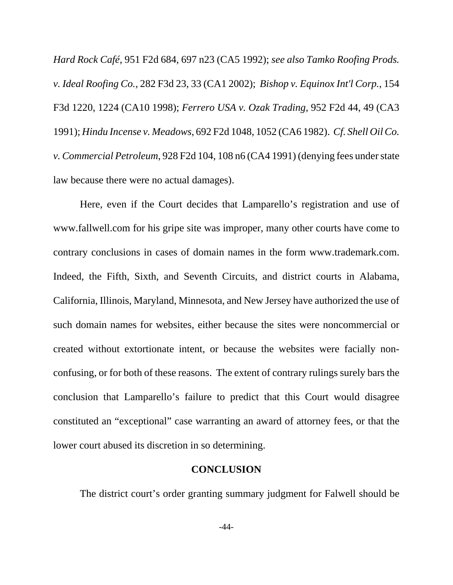*Hard Rock Café*, 951 F2d 684, 697 n23 (CA5 1992); *see also Tamko Roofing Prods. v. Ideal Roofing Co.,* 282 F3d 23, 33 (CA1 2002); *Bishop v. Equinox Int'l Corp.*, 154 F3d 1220, 1224 (CA10 1998); *Ferrero USA v. Ozak Trading,* 952 F2d 44, 49 (CA3 1991); *Hindu Incense v. Meadows*, 692 F2d 1048, 1052 (CA6 1982). *Cf. Shell Oil Co. v. Commercial Petroleum*, 928 F2d 104, 108 n6 (CA4 1991) (denying fees under state law because there were no actual damages).

Here, even if the Court decides that Lamparello's registration and use of www.fallwell.com for his gripe site was improper, many other courts have come to contrary conclusions in cases of domain names in the form www.trademark.com. Indeed, the Fifth, Sixth, and Seventh Circuits, and district courts in Alabama, California, Illinois, Maryland, Minnesota, and New Jersey have authorized the use of such domain names for websites, either because the sites were noncommercial or created without extortionate intent, or because the websites were facially nonconfusing, or for both of these reasons. The extent of contrary rulings surely bars the conclusion that Lamparello's failure to predict that this Court would disagree constituted an "exceptional" case warranting an award of attorney fees, or that the lower court abused its discretion in so determining.

#### **CONCLUSION**

The district court's order granting summary judgment for Falwell should be